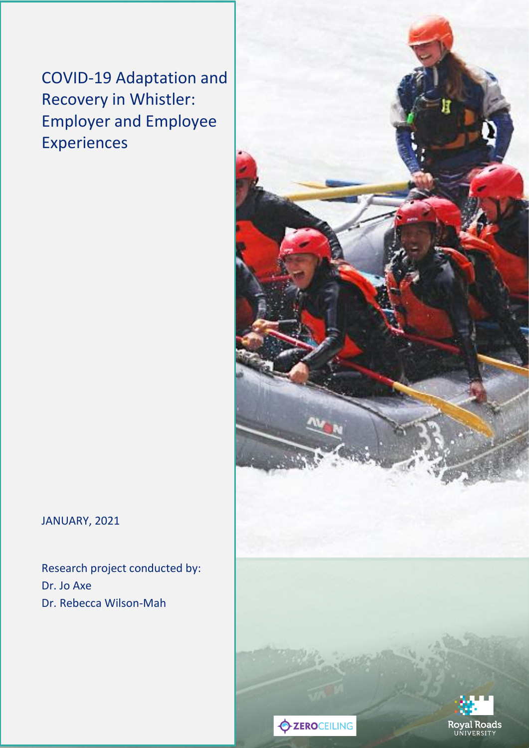COVID-19 Adaptation and Recovery in Whistler: Employer and Employee Experiences

JANUARY, 2021

Research project conducted by: Dr. Jo Axe Dr. Rebecca Wilson-Mah

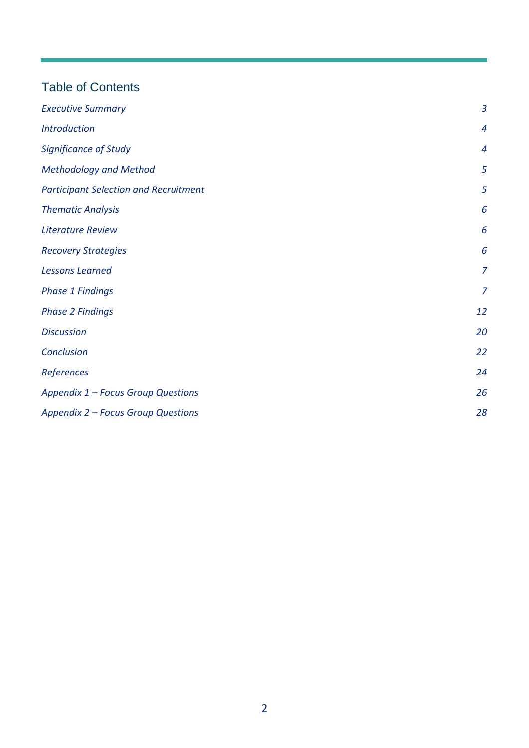# Table of Contents

| <b>Executive Summary</b>                     | $\overline{3}$   |
|----------------------------------------------|------------------|
| <b>Introduction</b>                          | $\boldsymbol{4}$ |
| <b>Significance of Study</b>                 | 4                |
| <b>Methodology and Method</b>                | 5                |
| <b>Participant Selection and Recruitment</b> | 5                |
| <b>Thematic Analysis</b>                     | 6                |
| <b>Literature Review</b>                     | 6                |
| <b>Recovery Strategies</b>                   | 6                |
| <b>Lessons Learned</b>                       | $\overline{7}$   |
| <b>Phase 1 Findings</b>                      | $\overline{z}$   |
| <b>Phase 2 Findings</b>                      | 12               |
| <b>Discussion</b>                            | 20               |
| Conclusion                                   | 22               |
| References                                   | 24               |
| Appendix 1 - Focus Group Questions           | 26               |
| Appendix 2 - Focus Group Questions           | 28               |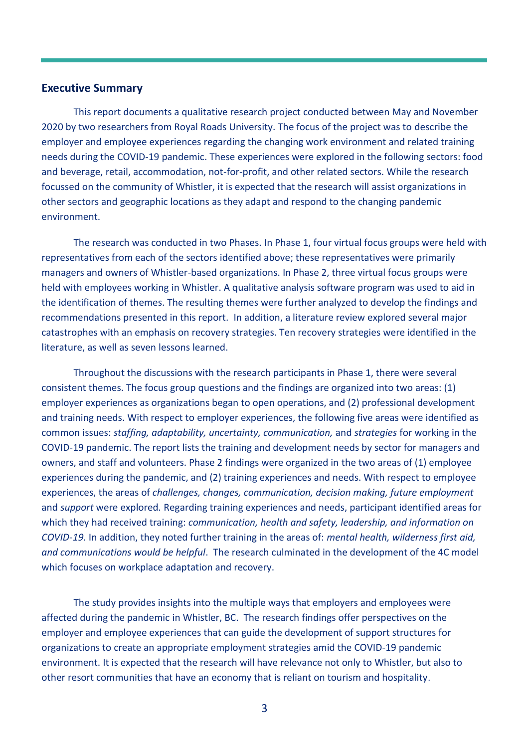#### <span id="page-2-0"></span>**Executive Summary**

This report documents a qualitative research project conducted between May and November 2020 by two researchers from Royal Roads University. The focus of the project was to describe the employer and employee experiences regarding the changing work environment and related training needs during the COVID-19 pandemic. These experiences were explored in the following sectors: food and beverage, retail, accommodation, not-for-profit, and other related sectors. While the research focussed on the community of Whistler, it is expected that the research will assist organizations in other sectors and geographic locations as they adapt and respond to the changing pandemic environment.

The research was conducted in two Phases. In Phase 1, four virtual focus groups were held with representatives from each of the sectors identified above; these representatives were primarily managers and owners of Whistler-based organizations. In Phase 2, three virtual focus groups were held with employees working in Whistler. A qualitative analysis software program was used to aid in the identification of themes. The resulting themes were further analyzed to develop the findings and recommendations presented in this report. In addition, a literature review explored several major catastrophes with an emphasis on recovery strategies. Ten recovery strategies were identified in the literature, as well as seven lessons learned.

Throughout the discussions with the research participants in Phase 1, there were several consistent themes. The focus group questions and the findings are organized into two areas: (1) employer experiences as organizations began to open operations, and (2) professional development and training needs. With respect to employer experiences, the following five areas were identified as common issues: *staffing, adaptability, uncertainty, communication,* and *strategies* for working in the COVID-19 pandemic. The report lists the training and development needs by sector for managers and owners, and staff and volunteers. Phase 2 findings were organized in the two areas of (1) employee experiences during the pandemic, and (2) training experiences and needs. With respect to employee experiences, the areas of *challenges, changes, communication, decision making, future employment* and *support* were explored*.* Regarding training experiences and needs, participant identified areas for which they had received training: *communication, health and safety, leadership, and information on COVID-19.* In addition, they noted further training in the areas of: *mental health, wilderness first aid, and communications would be helpful*. The research culminated in the development of the 4C model which focuses on workplace adaptation and recovery.

The study provides insights into the multiple ways that employers and employees were affected during the pandemic in Whistler, BC. The research findings offer perspectives on the employer and employee experiences that can guide the development of support structures for organizations to create an appropriate employment strategies amid the COVID-19 pandemic environment. It is expected that the research will have relevance not only to Whistler, but also to other resort communities that have an economy that is reliant on tourism and hospitality.

3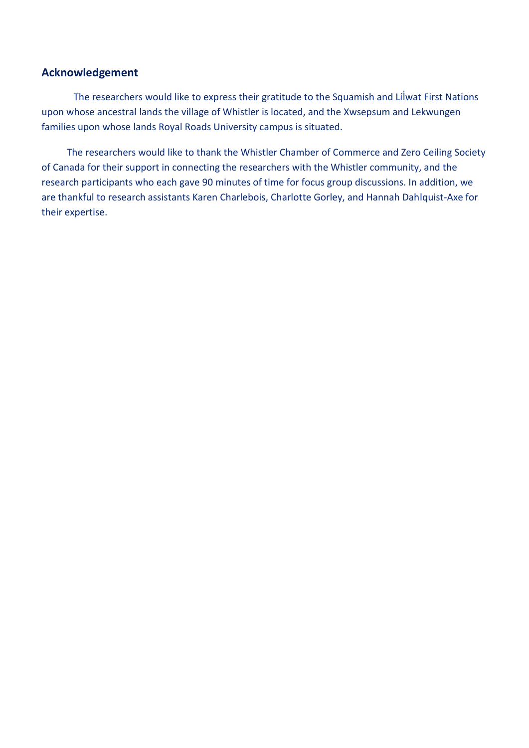# **Acknowledgement**

The researchers would like to express their gratitude to the Squamish and Lílwat First Nations upon whose ancestral lands the village of Whistler is located, and the Xwsepsum and Lekwungen families upon whose lands Royal Roads University campus is situated.

The researchers would like to thank the Whistler Chamber of Commerce and Zero Ceiling Society of Canada for their support in connecting the researchers with the Whistler community, and the research participants who each gave 90 minutes of time for focus group discussions. In addition, we are thankful to research assistants Karen Charlebois, Charlotte Gorley, and Hannah Dahlquist-Axe for their expertise.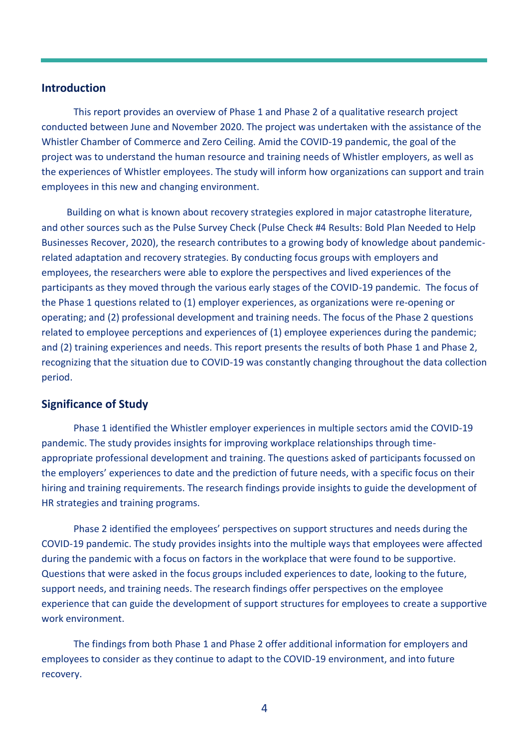### <span id="page-4-0"></span>**Introduction**

This report provides an overview of Phase 1 and Phase 2 of a qualitative research project conducted between June and November 2020. The project was undertaken with the assistance of the Whistler Chamber of Commerce and Zero Ceiling. Amid the COVID-19 pandemic, the goal of the project was to understand the human resource and training needs of Whistler employers, as well as the experiences of Whistler employees. The study will inform how organizations can support and train employees in this new and changing environment.

Building on what is known about recovery strategies explored in major catastrophe literature, and other sources such as the Pulse Survey Check [\(Pulse Check #4 Results: Bold Plan Needed to Help](https://www.whistlerchamber.com/pulse-check-4-results-bold-plan-needed-to-help-businesses-survive/)  [Businesses Recover,](https://www.whistlerchamber.com/pulse-check-4-results-bold-plan-needed-to-help-businesses-survive/) 2020), the research contributes to a growing body of knowledge about pandemicrelated adaptation and recovery strategies. By conducting focus groups with employers and employees, the researchers were able to explore the perspectives and lived experiences of the participants as they moved through the various early stages of the COVID-19 pandemic. The focus of the Phase 1 questions related to (1) employer experiences, as organizations were re-opening or operating; and (2) professional development and training needs. The focus of the Phase 2 questions related to employee perceptions and experiences of (1) employee experiences during the pandemic; and (2) training experiences and needs. This report presents the results of both Phase 1 and Phase 2, recognizing that the situation due to COVID-19 was constantly changing throughout the data collection period.

### <span id="page-4-1"></span>**Significance of Study**

Phase 1 identified the Whistler employer experiences in multiple sectors amid the COVID-19 pandemic. The study provides insights for improving workplace relationships through timeappropriate professional development and training. The questions asked of participants focussed on the employers' experiences to date and the prediction of future needs, with a specific focus on their hiring and training requirements. The research findings provide insights to guide the development of HR strategies and training programs.

Phase 2 identified the employees' perspectives on support structures and needs during the COVID-19 pandemic. The study provides insights into the multiple ways that employees were affected during the pandemic with a focus on factors in the workplace that were found to be supportive. Questions that were asked in the focus groups included experiences to date, looking to the future, support needs, and training needs. The research findings offer perspectives on the employee experience that can guide the development of support structures for employees to create a supportive work environment.

The findings from both Phase 1 and Phase 2 offer additional information for employers and employees to consider as they continue to adapt to the COVID-19 environment, and into future recovery.

4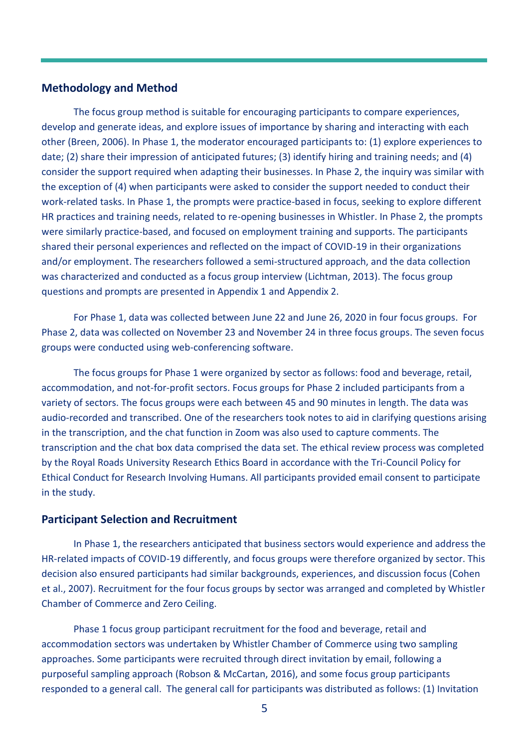# <span id="page-5-0"></span>**Methodology and Method**

The focus group method is suitable for encouraging participants to compare experiences, develop and generate ideas, and explore issues of importance by sharing and interacting with each other (Breen, 2006). In Phase 1, the moderator encouraged participants to: (1) explore experiences to date; (2) share their impression of anticipated futures; (3) identify hiring and training needs; and (4) consider the support required when adapting their businesses. In Phase 2, the inquiry was similar with the exception of (4) when participants were asked to consider the support needed to conduct their work-related tasks. In Phase 1, the prompts were practice-based in focus, seeking to explore different HR practices and training needs, related to re-opening businesses in Whistler. In Phase 2, the prompts were similarly practice-based, and focused on employment training and supports. The participants shared their personal experiences and reflected on the impact of COVID-19 in their organizations and/or employment. The researchers followed a semi-structured approach, and the data collection was characterized and conducted as a focus group interview (Lichtman, 2013). The focus group questions and prompts are presented in Appendix 1 and Appendix 2.

For Phase 1, data was collected between June 22 and June 26, 2020 in four focus groups. For Phase 2, data was collected on November 23 and November 24 in three focus groups. The seven focus groups were conducted using web-conferencing software.

The focus groups for Phase 1 were organized by sector as follows: food and beverage, retail, accommodation, and not-for-profit sectors. Focus groups for Phase 2 included participants from a variety of sectors. The focus groups were each between 45 and 90 minutes in length. The data was audio-recorded and transcribed. One of the researchers took notes to aid in clarifying questions arising in the transcription, and the chat function in Zoom was also used to capture comments. The transcription and the chat box data comprised the data set. The ethical review process was completed by the Royal Roads University Research Ethics Board in accordance with the Tri-Council Policy for Ethical Conduct for Research Involving Humans. All participants provided email consent to participate in the study.

### <span id="page-5-1"></span>**Participant Selection and Recruitment**

In Phase 1, the researchers anticipated that business sectors would experience and address the HR-related impacts of COVID-19 differently, and focus groups were therefore organized by sector. This decision also ensured participants had similar backgrounds, experiences, and discussion focus (Cohen et al., 2007). Recruitment for the four focus groups by sector was arranged and completed by Whistler Chamber of Commerce and Zero Ceiling.

Phase 1 focus group participant recruitment for the food and beverage, retail and accommodation sectors was undertaken by Whistler Chamber of Commerce using two sampling approaches. Some participants were recruited through direct invitation by email, following a purposeful sampling approach (Robson & McCartan, 2016), and some focus group participants responded to a general call. The general call for participants was distributed as follows: (1) Invitation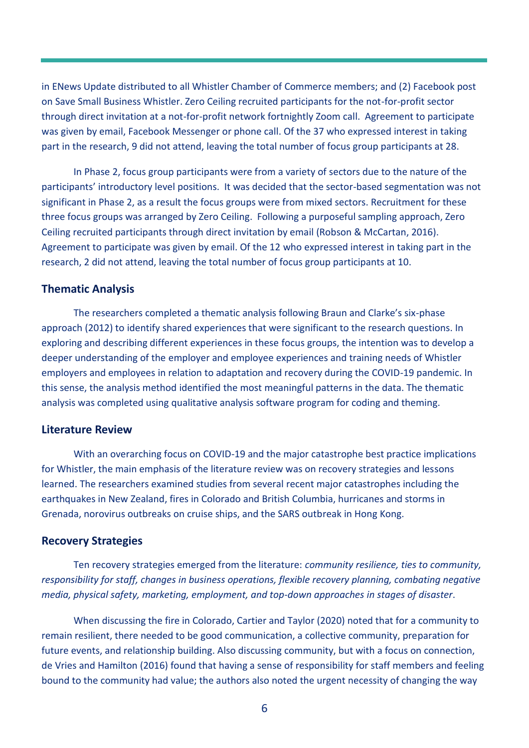in ENews Update distributed to all Whistler Chamber of Commerce members; and (2) Facebook post on Save Small Business Whistler. Zero Ceiling recruited participants for the not-for-profit sector through direct invitation at a not-for-profit network fortnightly Zoom call.Agreement to participate was given by email, Facebook Messenger or phone call. Of the 37 who expressed interest in taking part in the research, 9 did not attend, leaving the total number of focus group participants at 28.

In Phase 2, focus group participants were from a variety of sectors due to the nature of the participants' introductory level positions. It was decided that the sector-based segmentation was not significant in Phase 2, as a result the focus groups were from mixed sectors. Recruitment for these three focus groups was arranged by Zero Ceiling. Following a purposeful sampling approach, Zero Ceiling recruited participants through direct invitation by email (Robson & McCartan, 2016). Agreement to participate was given by email. Of the 12 who expressed interest in taking part in the research, 2 did not attend, leaving the total number of focus group participants at 10.

# <span id="page-6-0"></span>**Thematic Analysis**

The researchers completed a thematic analysis following Braun and Clarke's six-phase approach (2012) to identify shared experiences that were significant to the research questions. In exploring and describing different experiences in these focus groups, the intention was to develop a deeper understanding of the employer and employee experiences and training needs of Whistler employers and employees in relation to adaptation and recovery during the COVID-19 pandemic. In this sense, the analysis method identified the most meaningful patterns in the data. The thematic analysis was completed using qualitative analysis software program for coding and theming.

### <span id="page-6-1"></span>**Literature Review**

With an overarching focus on COVID-19 and the major catastrophe best practice implications for Whistler, the main emphasis of the literature review was on recovery strategies and lessons learned. The researchers examined studies from several recent major catastrophes including the earthquakes in New Zealand, fires in Colorado and British Columbia, hurricanes and storms in Grenada, norovirus outbreaks on cruise ships, and the SARS outbreak in Hong Kong.

#### <span id="page-6-2"></span>**Recovery Strategies**

Ten recovery strategies emerged from the literature: *community resilience, ties to community, responsibility for staff, changes in business operations, flexible recovery planning, combating negative media, physical safety, marketing, employment, and top-down approaches in stages of disaster*.

When discussing the fire in Colorado, Cartier and Taylor (2020) noted that for a community to remain resilient, there needed to be good communication, a collective community, preparation for future events, and relationship building. Also discussing community, but with a focus on connection, de Vries and Hamilton (2016) found that having a sense of responsibility for staff members and feeling bound to the community had value; the authors also noted the urgent necessity of changing the way

6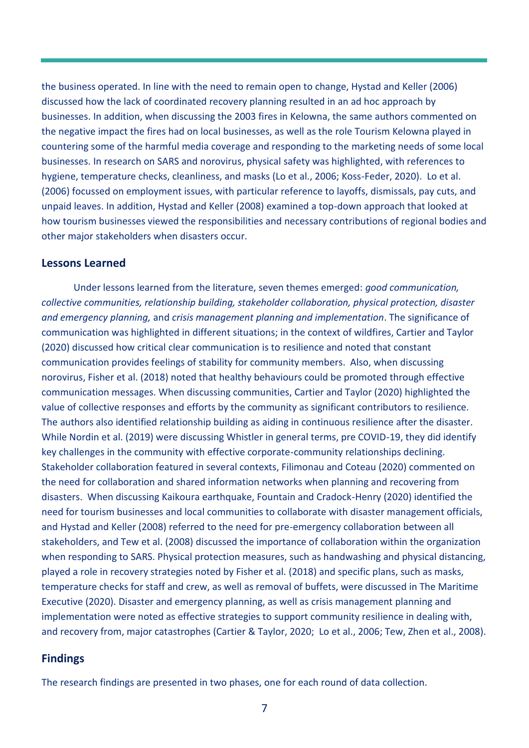the business operated. In line with the need to remain open to change, Hystad and Keller (2006) discussed how the lack of coordinated recovery planning resulted in an ad hoc approach by businesses. In addition, when discussing the 2003 fires in Kelowna, the same authors commented on the negative impact the fires had on local businesses, as well as the role Tourism Kelowna played in countering some of the harmful media coverage and responding to the marketing needs of some local businesses. In research on SARS and norovirus, physical safety was highlighted, with references to hygiene, temperature checks, cleanliness, and masks (Lo et al., 2006; Koss-Feder, 2020). Lo et al. (2006) focussed on employment issues, with particular reference to layoffs, dismissals, pay cuts, and unpaid leaves. In addition, Hystad and Keller (2008) examined a top-down approach that looked at how tourism businesses viewed the responsibilities and necessary contributions of regional bodies and other major stakeholders when disasters occur.

# <span id="page-7-0"></span>**Lessons Learned**

Under lessons learned from the literature, seven themes emerged: *good communication, collective communities, relationship building, stakeholder collaboration, physical protection, disaster and emergency planning,* and *crisis management planning and implementation*. The significance of communication was highlighted in different situations; in the context of wildfires, Cartier and Taylor (2020) discussed how critical clear communication is to resilience and noted that constant communication provides feelings of stability for community members. Also, when discussing norovirus, Fisher et al. (2018) noted that healthy behaviours could be promoted through effective communication messages. When discussing communities, Cartier and Taylor (2020) highlighted the value of collective responses and efforts by the community as significant contributors to resilience. The authors also identified relationship building as aiding in continuous resilience after the disaster. While Nordin et al. (2019) were discussing Whistler in general terms, pre COVID-19, they did identify key challenges in the community with effective corporate-community relationships declining. Stakeholder collaboration featured in several contexts, Filimonau and Coteau (2020) commented on the need for collaboration and shared information networks when planning and recovering from disasters. When discussing Kaikoura earthquake, Fountain and Cradock-Henry (2020) identified the need for tourism businesses and local communities to collaborate with disaster management officials, and Hystad and Keller (2008) referred to the need for pre-emergency collaboration between all stakeholders, and Tew et al. (2008) discussed the importance of collaboration within the organization when responding to SARS. Physical protection measures, such as handwashing and physical distancing, played a role in recovery strategies noted by Fisher et al. (2018) and specific plans, such as masks, temperature checks for staff and crew, as well as removal of buffets, were discussed in The Maritime Executive (2020). Disaster and emergency planning, as well as crisis management planning and implementation were noted as effective strategies to support community resilience in dealing with, and recovery from, major catastrophes (Cartier & Taylor, 2020; Lo et al., 2006; Tew, Zhen et al., 2008).

# <span id="page-7-1"></span>**Findings**

The research findings are presented in two phases, one for each round of data collection.

7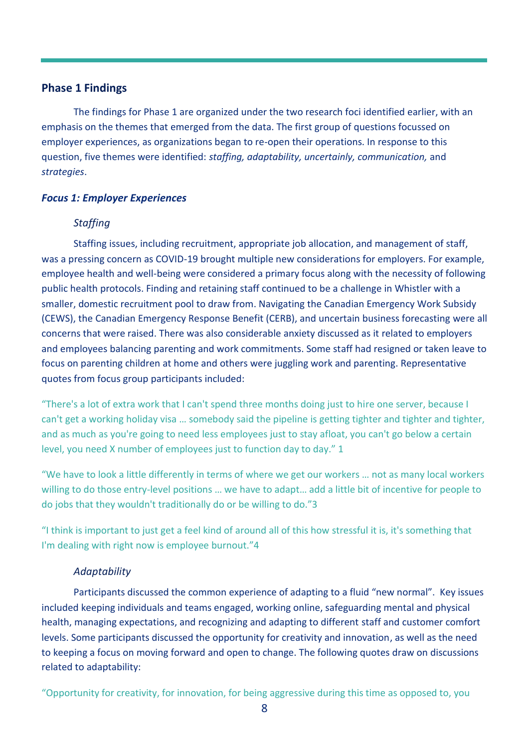# **Phase 1 Findings**

The findings for Phase 1 are organized under the two research foci identified earlier, with an emphasis on the themes that emerged from the data. The first group of questions focussed on employer experiences, as organizations began to re-open their operations. In response to this question, five themes were identified: *staffing, adaptability, uncertainly, communication,* and *strategies*.

#### *Focus 1: Employer Experiences*

# *Staffing*

Staffing issues, including recruitment, appropriate job allocation, and management of staff, was a pressing concern as COVID-19 brought multiple new considerations for employers. For example, employee health and well-being were considered a primary focus along with the necessity of following public health protocols. Finding and retaining staff continued to be a challenge in Whistler with a smaller, domestic recruitment pool to draw from. Navigating the Canadian Emergency Work Subsidy (CEWS), the Canadian Emergency Response Benefit (CERB), and uncertain business forecasting were all concerns that were raised. There was also considerable anxiety discussed as it related to employers and employees balancing parenting and work commitments. Some staff had resigned or taken leave to focus on parenting children at home and others were juggling work and parenting. Representative quotes from focus group participants included:

"There's a lot of extra work that I can't spend three months doing just to hire one server, because I can't get a working holiday visa … somebody said the pipeline is getting tighter and tighter and tighter, and as much as you're going to need less employees just to stay afloat, you can't go below a certain level, you need X number of employees just to function day to day." 1

"We have to look a little differently in terms of where we get our workers … not as many local workers willing to do those entry-level positions … we have to adapt… add a little bit of incentive for people to do jobs that they wouldn't traditionally do or be willing to do."3

"I think is important to just get a feel kind of around all of this how stressful it is, it's something that I'm dealing with right now is employee burnout."4

#### *Adaptability*

Participants discussed the common experience of adapting to a fluid "new normal". Key issues included keeping individuals and teams engaged, working online, safeguarding mental and physical health, managing expectations, and recognizing and adapting to different staff and customer comfort levels. Some participants discussed the opportunity for creativity and innovation, as well as the need to keeping a focus on moving forward and open to change. The following quotes draw on discussions related to adaptability:

"Opportunity for creativity, for innovation, for being aggressive during this time as opposed to, you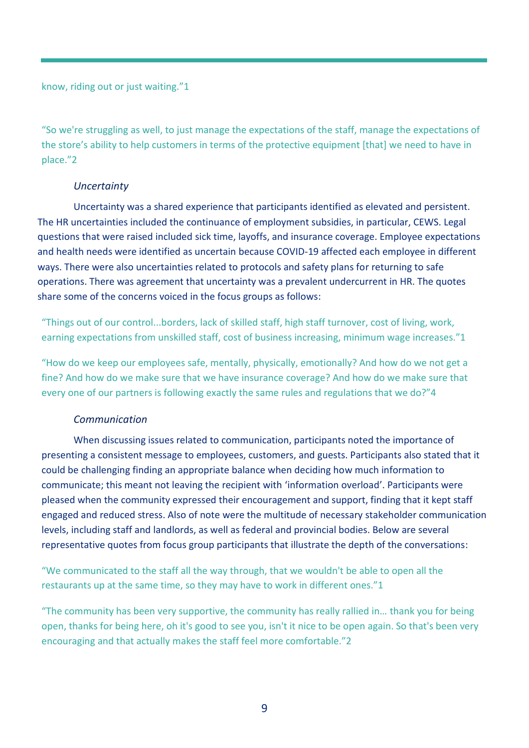know, riding out or just waiting."1

"So we're struggling as well, to just manage the expectations of the staff, manage the expectations of the store's ability to help customers in terms of the protective equipment [that] we need to have in place."2

# *Uncertainty*

Uncertainty was a shared experience that participants identified as elevated and persistent. The HR uncertainties included the continuance of employment subsidies, in particular, CEWS. Legal questions that were raised included sick time, layoffs, and insurance coverage. Employee expectations and health needs were identified as uncertain because COVID-19 affected each employee in different ways. There were also uncertainties related to protocols and safety plans for returning to safe operations. There was agreement that uncertainty was a prevalent undercurrent in HR. The quotes share some of the concerns voiced in the focus groups as follows:

"Things out of our control...borders, lack of skilled staff, high staff turnover, cost of living, work, earning expectations from unskilled staff, cost of business increasing, minimum wage increases."1

"How do we keep our employees safe, mentally, physically, emotionally? And how do we not get a fine? And how do we make sure that we have insurance coverage? And how do we make sure that every one of our partners is following exactly the same rules and regulations that we do?"4

# *Communication*

When discussing issues related to communication, participants noted the importance of presenting a consistent message to employees, customers, and guests. Participants also stated that it could be challenging finding an appropriate balance when deciding how much information to communicate; this meant not leaving the recipient with 'information overload'. Participants were pleased when the community expressed their encouragement and support, finding that it kept staff engaged and reduced stress. Also of note were the multitude of necessary stakeholder communication levels, including staff and landlords, as well as federal and provincial bodies. Below are several representative quotes from focus group participants that illustrate the depth of the conversations:

"We communicated to the staff all the way through, that we wouldn't be able to open all the restaurants up at the same time, so they may have to work in different ones."1

"The community has been very supportive, the community has really rallied in… thank you for being open, thanks for being here, oh it's good to see you, isn't it nice to be open again. So that's been very encouraging and that actually makes the staff feel more comfortable."2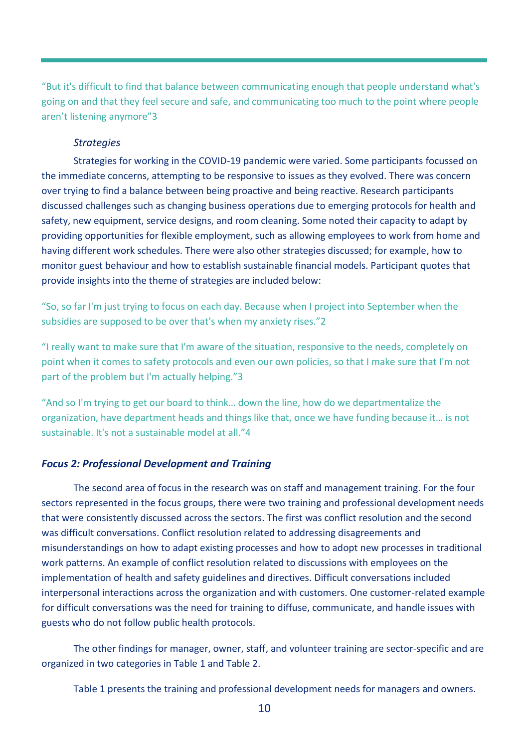"But it's difficult to find that balance between communicating enough that people understand what's going on and that they feel secure and safe, and communicating too much to the point where people aren't listening anymore"3

# *Strategies*

Strategies for working in the COVID-19 pandemic were varied. Some participants focussed on the immediate concerns, attempting to be responsive to issues as they evolved. There was concern over trying to find a balance between being proactive and being reactive. Research participants discussed challenges such as changing business operations due to emerging protocols for health and safety, new equipment, service designs, and room cleaning. Some noted their capacity to adapt by providing opportunities for flexible employment, such as allowing employees to work from home and having different work schedules. There were also other strategies discussed; for example, how to monitor guest behaviour and how to establish sustainable financial models. Participant quotes that provide insights into the theme of strategies are included below:

"So, so far I'm just trying to focus on each day. Because when I project into September when the subsidies are supposed to be over that's when my anxiety rises."2

"I really want to make sure that I'm aware of the situation, responsive to the needs, completely on point when it comes to safety protocols and even our own policies, so that I make sure that I'm not part of the problem but I'm actually helping."3

"And so I'm trying to get our board to think… down the line, how do we departmentalize the organization, have department heads and things like that, once we have funding because it… is not sustainable. It's not a sustainable model at all."4

# *Focus 2: Professional Development and Training*

The second area of focus in the research was on staff and management training. For the four sectors represented in the focus groups, there were two training and professional development needs that were consistently discussed across the sectors. The first was conflict resolution and the second was difficult conversations. Conflict resolution related to addressing disagreements and misunderstandings on how to adapt existing processes and how to adopt new processes in traditional work patterns. An example of conflict resolution related to discussions with employees on the implementation of health and safety guidelines and directives. Difficult conversations included interpersonal interactions across the organization and with customers. One customer-related example for difficult conversations was the need for training to diffuse, communicate, and handle issues with guests who do not follow public health protocols.

The other findings for manager, owner, staff, and volunteer training are sector-specific and are organized in two categories in Table 1 and Table 2.

Table 1 presents the training and professional development needs for managers and owners.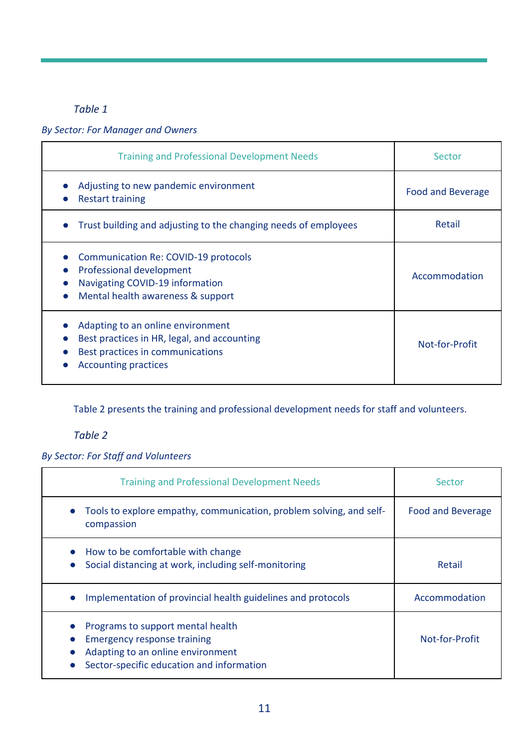# *Table 1*

# *By Sector: For Manager and Owners*

| <b>Training and Professional Development Needs</b>                                                                                                  | Sector                   |
|-----------------------------------------------------------------------------------------------------------------------------------------------------|--------------------------|
| Adjusting to new pandemic environment<br><b>Restart training</b>                                                                                    | <b>Food and Beverage</b> |
| Trust building and adjusting to the changing needs of employees                                                                                     | Retail                   |
| Communication Re: COVID-19 protocols<br>Professional development<br>Navigating COVID-19 information<br>Mental health awareness & support            | Accommodation            |
| Adapting to an online environment<br>Best practices in HR, legal, and accounting<br>Best practices in communications<br><b>Accounting practices</b> | Not-for-Profit           |

Table 2 presents the training and professional development needs for staff and volunteers.

# *Table 2*

# *By Sector: For Staff and Volunteers*

| <b>Training and Professional Development Needs</b>                                                                                                        | Sector                   |
|-----------------------------------------------------------------------------------------------------------------------------------------------------------|--------------------------|
| Tools to explore empathy, communication, problem solving, and self-<br>compassion                                                                         | <b>Food and Beverage</b> |
| • How to be comfortable with change<br>Social distancing at work, including self-monitoring                                                               | Retail                   |
| Implementation of provincial health guidelines and protocols                                                                                              | Accommodation            |
| Programs to support mental health<br><b>Emergency response training</b><br>Adapting to an online environment<br>Sector-specific education and information | Not-for-Profit           |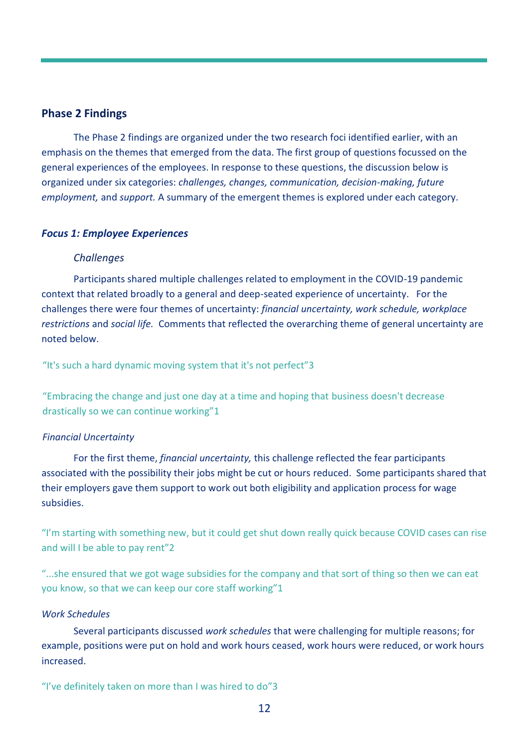# <span id="page-12-0"></span>**Phase 2 Findings**

The Phase 2 findings are organized under the two research foci identified earlier, with an emphasis on the themes that emerged from the data. The first group of questions focussed on the general experiences of the employees. In response to these questions, the discussion below is organized under six categories: *challenges, changes, communication, decision-making, future employment,* and *support.* A summary of the emergent themes is explored under each category.

### *Focus 1: Employee Experiences*

# *Challenges*

Participants shared multiple challenges related to employment in the COVID-19 pandemic context that related broadly to a general and deep-seated experience of uncertainty. For the challenges there were four themes of uncertainty: *financial uncertainty, work schedule, workplace restrictions* and *social life.* Comments that reflected the overarching theme of general uncertainty are noted below.

"It's such a hard dynamic moving system that it's not perfect"3

"Embracing the change and just one day at a time and hoping that business doesn't decrease drastically so we can continue working"1

#### *Financial Uncertainty*

For the first theme, *financial uncertainty,* this challenge reflected the fear participants associated with the possibility their jobs might be cut or hours reduced. Some participants shared that their employers gave them support to work out both eligibility and application process for wage subsidies.

"I'm starting with something new, but it could get shut down really quick because COVID cases can rise and will I be able to pay rent"2

"...she ensured that we got wage subsidies for the company and that sort of thing so then we can eat you know, so that we can keep our core staff working"1

### *Work Schedules*

Several participants discussed *work schedules* that were challenging for multiple reasons; for example, positions were put on hold and work hours ceased, work hours were reduced, or work hours increased.

"I've definitely taken on more than I was hired to do"3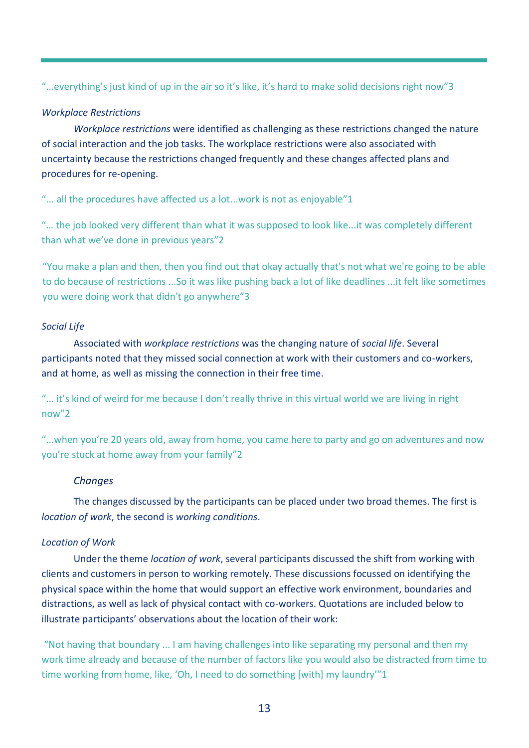"...everything's just kind of up in the air so it's like, it's hard to make solid decisions right now"3

# *Workplace Restrictions*

*Workplace restrictions* were identified as challenging as these restrictions changed the nature of social interaction and the job tasks. The workplace restrictions were also associated with uncertainty because the restrictions changed frequently and these changes affected plans and procedures for re-opening.

"... all the procedures have affected us a lot...work is not as enjoyable"1

"… the job looked very different than what it was supposed to look like...it was completely different than what we've done in previous years"2

"You make a plan and then, then you find out that okay actually that's not what we're going to be able to do because of restrictions ...So it was like pushing back a lot of like deadlines ...it felt like sometimes you were doing work that didn't go anywhere"3

# *Social Life*

Associated with *workplace restrictions* was the changing nature of *social life*. Several participants noted that they missed social connection at work with their customers and co-workers, and at home, as well as missing the connection in their free time.

"... it's kind of weird for me because I don't really thrive in this virtual world we are living in right now"2

"...when you're 20 years old, away from home, you came here to party and go on adventures and now you're stuck at home away from your family"2

# *Changes*

The changes discussed by the participants can be placed under two broad themes. The first is *location of work*, the second is *working conditions*.

# *Location of Work*

Under the theme *location of work*, several participants discussed the shift from working with clients and customers in person to working remotely. These discussions focussed on identifying the physical space within the home that would support an effective work environment, boundaries and distractions, as well as lack of physical contact with co-workers. Quotations are included below to illustrate participants' observations about the location of their work:

"Not having that boundary ... I am having challenges into like separating my personal and then my work time already and because of the number of factors like you would also be distracted from time to time working from home, like, 'Oh, I need to do something [with] my laundry'"1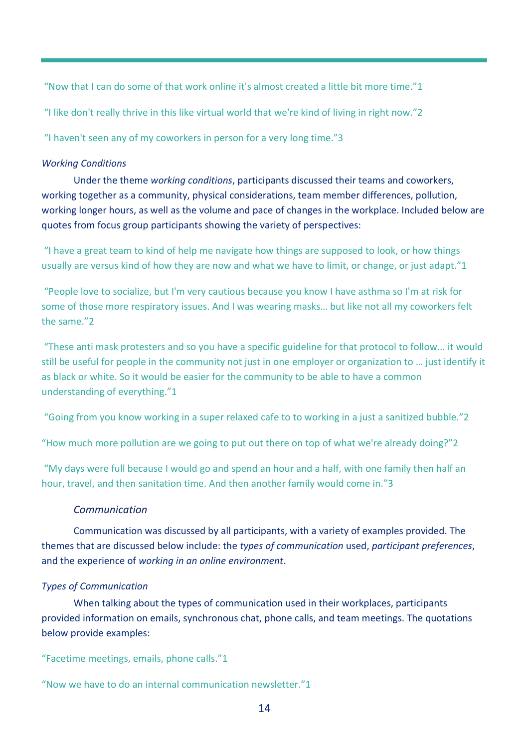"Now that I can do some of that work online it's almost created a little bit more time."1

"I like don't really thrive in this like virtual world that we're kind of living in right now."2

"I haven't seen any of my coworkers in person for a very long time."3

# *Working Conditions*

Under the theme *working conditions*, participants discussed their teams and coworkers, working together as a community, physical considerations, team member differences, pollution, working longer hours, as well as the volume and pace of changes in the workplace. Included below are quotes from focus group participants showing the variety of perspectives:

"I have a great team to kind of help me navigate how things are supposed to look, or how things usually are versus kind of how they are now and what we have to limit, or change, or just adapt."1

"People love to socialize, but I'm very cautious because you know I have asthma so I'm at risk for some of those more respiratory issues. And I was wearing masks… but like not all my coworkers felt the same."2

"These anti mask protesters and so you have a specific guideline for that protocol to follow… it would still be useful for people in the community not just in one employer or organization to … just identify it as black or white. So it would be easier for the community to be able to have a common understanding of everything."1

"Going from you know working in a super relaxed cafe to to working in a just a sanitized bubble."2

"How much more pollution are we going to put out there on top of what we're already doing?"2

"My days were full because I would go and spend an hour and a half, with one family then half an hour, travel, and then sanitation time. And then another family would come in."3

# *Communication*

Communication was discussed by all participants, with a variety of examples provided. The themes that are discussed below include: the *types of communication* used, *participant preferences*, and the experience of *working in an online environment*.

# *Types of Communication*

When talking about the types of communication used in their workplaces, participants provided information on emails, synchronous chat, phone calls, and team meetings. The quotations below provide examples:

"Facetime meetings, emails, phone calls."1

"Now we have to do an internal communication newsletter."1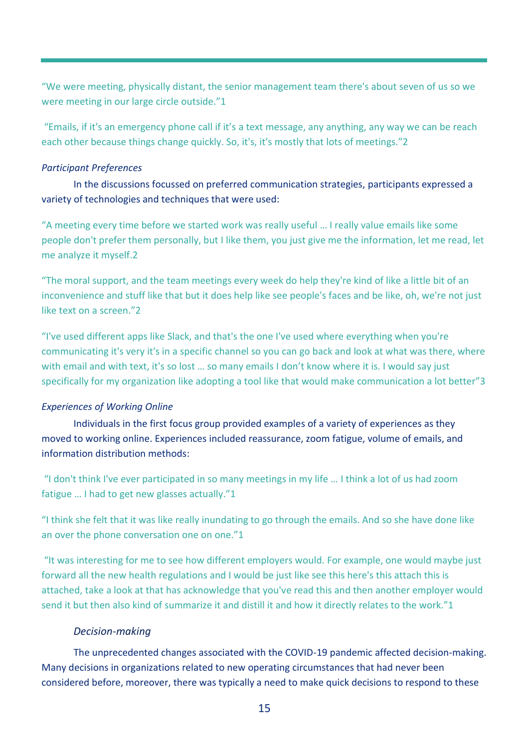"We were meeting, physically distant, the senior management team there's about seven of us so we were meeting in our large circle outside."1

"Emails, if it's an emergency phone call if it's a text message, any anything, any way we can be reach each other because things change quickly. So, it's, it's mostly that lots of meetings."2

# *Participant Preferences*

In the discussions focussed on preferred communication strategies, participants expressed a variety of technologies and techniques that were used:

"A meeting every time before we started work was really useful … I really value emails like some people don't prefer them personally, but I like them, you just give me the information, let me read, let me analyze it myself.2

"The moral support, and the team meetings every week do help they're kind of like a little bit of an inconvenience and stuff like that but it does help like see people's faces and be like, oh, we're not just like text on a screen."2

"I've used different apps like Slack, and that's the one I've used where everything when you're communicating it's very it's in a specific channel so you can go back and look at what was there, where with email and with text, it's so lost ... so many emails I don't know where it is. I would say just specifically for my organization like adopting a tool like that would make communication a lot better"3

# *Experiences of Working Online*

Individuals in the first focus group provided examples of a variety of experiences as they moved to working online. Experiences included reassurance, zoom fatigue, volume of emails, and information distribution methods:

"I don't think I've ever participated in so many meetings in my life … I think a lot of us had zoom fatigue … I had to get new glasses actually."1

"I think she felt that it was like really inundating to go through the emails. And so she have done like an over the phone conversation one on one."1

"It was interesting for me to see how different employers would. For example, one would maybe just forward all the new health regulations and I would be just like see this here's this attach this is attached, take a look at that has acknowledge that you've read this and then another employer would send it but then also kind of summarize it and distill it and how it directly relates to the work."1

# *Decision-making*

The unprecedented changes associated with the COVID-19 pandemic affected decision-making. Many decisions in organizations related to new operating circumstances that had never been considered before, moreover, there was typically a need to make quick decisions to respond to these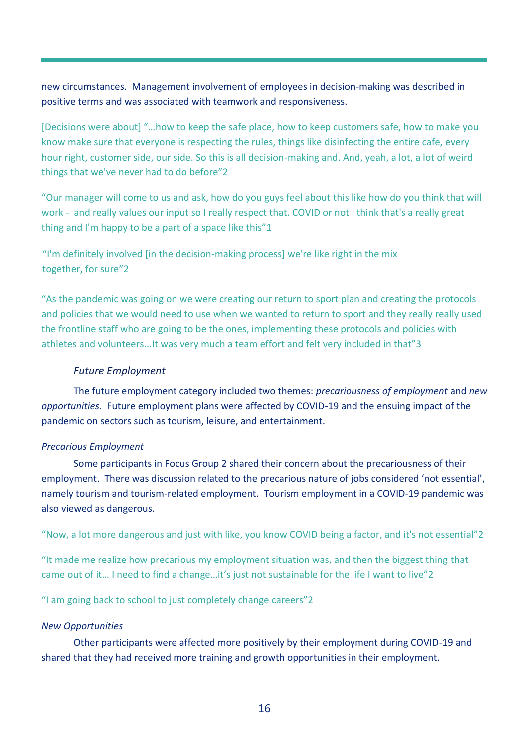new circumstances. Management involvement of employees in decision-making was described in positive terms and was associated with teamwork and responsiveness.

[Decisions were about] "…how to keep the safe place, how to keep customers safe, how to make you know make sure that everyone is respecting the rules, things like disinfecting the entire cafe, every hour right, customer side, our side. So this is all decision-making and. And, yeah, a lot, a lot of weird things that we've never had to do before"2

"Our manager will come to us and ask, how do you guys feel about this like how do you think that will work - and really values our input so I really respect that. COVID or not I think that's a really great thing and I'm happy to be a part of a space like this"1

"I'm definitely involved [in the decision-making process] we're like right in the mix together, for sure"2

"As the pandemic was going on we were creating our return to sport plan and creating the protocols and policies that we would need to use when we wanted to return to sport and they really really used the frontline staff who are going to be the ones, implementing these protocols and policies with athletes and volunteers...It was very much a team effort and felt very included in that"3

# *Future Employment*

The future employment category included two themes: *precariousness of employment* and *new opportunities*. Future employment plans were affected by COVID-19 and the ensuing impact of the pandemic on sectors such as tourism, leisure, and entertainment.

# *Precarious Employment*

Some participants in Focus Group 2 shared their concern about the precariousness of their employment. There was discussion related to the precarious nature of jobs considered 'not essential', namely tourism and tourism-related employment. Tourism employment in a COVID-19 pandemic was also viewed as dangerous.

"Now, a lot more dangerous and just with like, you know COVID being a factor, and it's not essential"2

"It made me realize how precarious my employment situation was, and then the biggest thing that came out of it… I need to find a change…it's just not sustainable for the life I want to live"2

"I am going back to school to just completely change careers"2

# *New Opportunities*

Other participants were affected more positively by their employment during COVID-19 and shared that they had received more training and growth opportunities in their employment.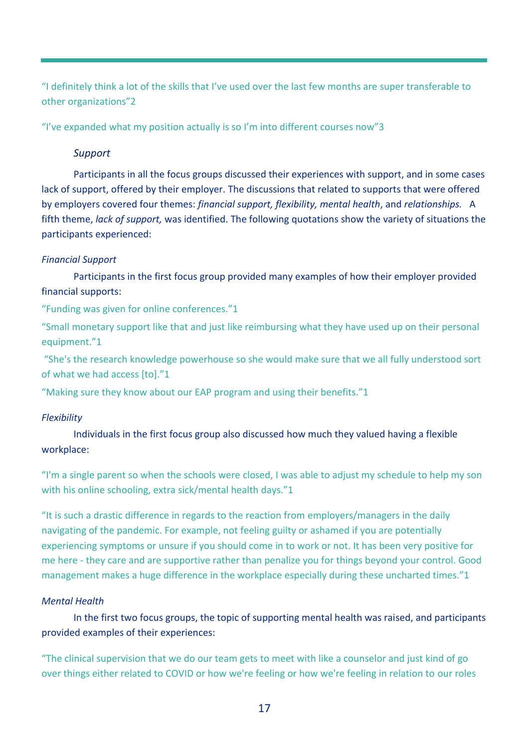"I definitely think a lot of the skills that I've used over the last few months are super transferable to other organizations"2

"I've expanded what my position actually is so I'm into different courses now"3

# *Support*

Participants in all the focus groups discussed their experiences with support, and in some cases lack of support, offered by their employer. The discussions that related to supports that were offered by employers covered four themes: *financial support, flexibility, mental health*, and *relationships.* A fifth theme, *lack of support,* was identified. The following quotations show the variety of situations the participants experienced:

# *Financial Support*

Participants in the first focus group provided many examples of how their employer provided financial supports:

"Funding was given for online conferences."1

"Small monetary support like that and just like reimbursing what they have used up on their personal equipment."1

"She's the research knowledge powerhouse so she would make sure that we all fully understood sort of what we had access [to]."1

"Making sure they know about our EAP program and using their benefits."1

# *Flexibility*

Individuals in the first focus group also discussed how much they valued having a flexible workplace:

"I'm a single parent so when the schools were closed, I was able to adjust my schedule to help my son with his online schooling, extra sick/mental health days."1

"It is such a drastic difference in regards to the reaction from employers/managers in the daily navigating of the pandemic. For example, not feeling guilty or ashamed if you are potentially experiencing symptoms or unsure if you should come in to work or not. It has been very positive for me here - they care and are supportive rather than penalize you for things beyond your control. Good management makes a huge difference in the workplace especially during these uncharted times."1

# *Mental Health*

In the first two focus groups, the topic of supporting mental health was raised, and participants provided examples of their experiences:

"The clinical supervision that we do our team gets to meet with like a counselor and just kind of go over things either related to COVID or how we're feeling or how we're feeling in relation to our roles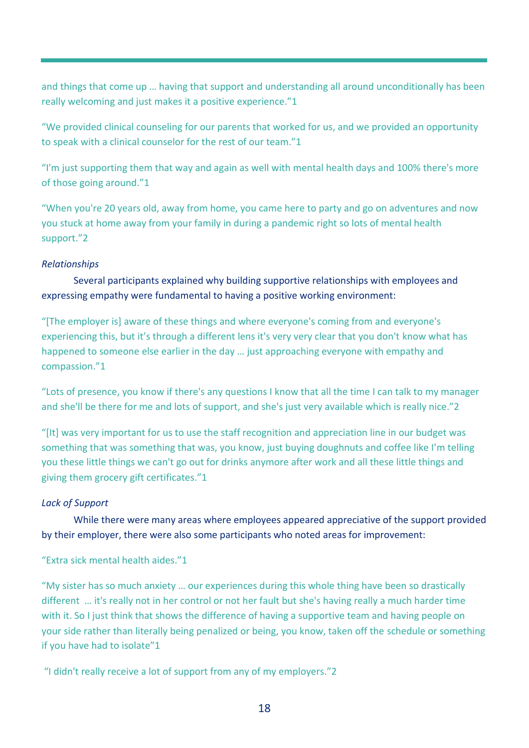and things that come up … having that support and understanding all around unconditionally has been really welcoming and just makes it a positive experience."1

"We provided clinical counseling for our parents that worked for us, and we provided an opportunity to speak with a clinical counselor for the rest of our team."1

"I'm just supporting them that way and again as well with mental health days and 100% there's more of those going around."1

"When you're 20 years old, away from home, you came here to party and go on adventures and now you stuck at home away from your family in during a pandemic right so lots of mental health support."2

# *Relationships*

Several participants explained why building supportive relationships with employees and expressing empathy were fundamental to having a positive working environment:

"[The employer is] aware of these things and where everyone's coming from and everyone's experiencing this, but it's through a different lens it's very very clear that you don't know what has happened to someone else earlier in the day … just approaching everyone with empathy and compassion."1

"Lots of presence, you know if there's any questions I know that all the time I can talk to my manager and she'll be there for me and lots of support, and she's just very available which is really nice."2

"[It] was very important for us to use the staff recognition and appreciation line in our budget was something that was something that was, you know, just buying doughnuts and coffee like I'm telling you these little things we can't go out for drinks anymore after work and all these little things and giving them grocery gift certificates."1

# *Lack of Support*

While there were many areas where employees appeared appreciative of the support provided by their employer, there were also some participants who noted areas for improvement:

# "Extra sick mental health aides."1

"My sister has so much anxiety … our experiences during this whole thing have been so drastically different … it's really not in her control or not her fault but she's having really a much harder time with it. So I just think that shows the difference of having a supportive team and having people on your side rather than literally being penalized or being, you know, taken off the schedule or something if you have had to isolate"1

"I didn't really receive a lot of support from any of my employers."2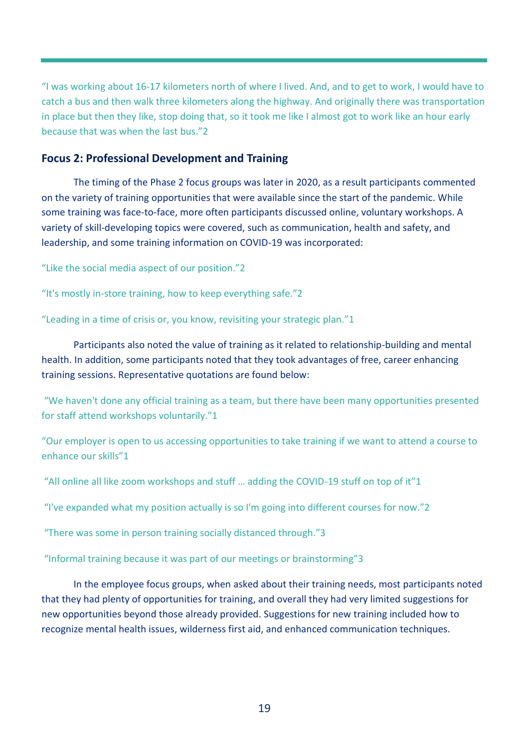"I was working about 16-17 kilometers north of where I lived. And, and to get to work, I would have to catch a bus and then walk three kilometers along the highway. And originally there was transportation in place but then they like, stop doing that, so it took me like I almost got to work like an hour early because that was when the last bus."2

# **Focus 2: Professional Development and Training**

The timing of the Phase 2 focus groups was later in 2020, as a result participants commented on the variety of training opportunities that were available since the start of the pandemic. While some training was face-to-face, more often participants discussed online, voluntary workshops. A variety of skill-developing topics were covered, such as communication, health and safety, and leadership, and some training information on COVID-19 was incorporated:

"Like the social media aspect of our position."2

"It's mostly in-store training, how to keep everything safe."2

"Leading in a time of crisis or, you know, revisiting your strategic plan."1

Participants also noted the value of training as it related to relationship-building and mental health. In addition, some participants noted that they took advantages of free, career enhancing training sessions. Representative quotations are found below:

"We haven't done any official training as a team, but there have been many opportunities presented for staff attend workshops voluntarily."1

"Our employer is open to us accessing opportunities to take training if we want to attend a course to enhance our skills"1

"All online all like zoom workshops and stuff … adding the COVID-19 stuff on top of it"1

"I've expanded what my position actually is so I'm going into different courses for now."2

"There was some in person training socially distanced through."3

"Informal training because it was part of our meetings or brainstorming"3

In the employee focus groups, when asked about their training needs, most participants noted that they had plenty of opportunities for training, and overall they had very limited suggestions for new opportunities beyond those already provided. Suggestions for new training included how to recognize mental health issues, wilderness first aid, and enhanced communication techniques.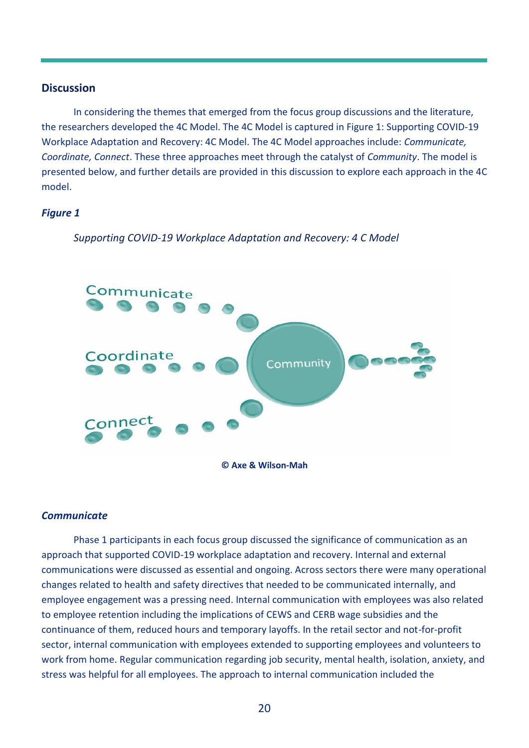### <span id="page-20-0"></span>**Discussion**

In considering the themes that emerged from the focus group discussions and the literature, the researchers developed the 4C Model. The 4C Model is captured in Figure 1: Supporting COVID-19 Workplace Adaptation and Recovery: 4C Model. The 4C Model approaches include: *Communicate, Coordinate, Connect*. These three approaches meet through the catalyst of *Community*. The model is presented below, and further details are provided in this discussion to explore each approach in the 4C model.

### *Figure 1*



*Supporting COVID-19 Workplace Adaptation and Recovery: 4 C Model*

# *Communicate*

Phase 1 participants in each focus group discussed the significance of communication as an approach that supported COVID-19 workplace adaptation and recovery. Internal and external communications were discussed as essential and ongoing. Across sectors there were many operational changes related to health and safety directives that needed to be communicated internally, and employee engagement was a pressing need. Internal communication with employees was also related to employee retention including the implications of CEWS and CERB wage subsidies and the continuance of them, reduced hours and temporary layoffs. In the retail sector and not-for-profit sector, internal communication with employees extended to supporting employees and volunteers to work from home. Regular communication regarding job security, mental health, isolation, anxiety, and stress was helpful for all employees. The approach to internal communication included the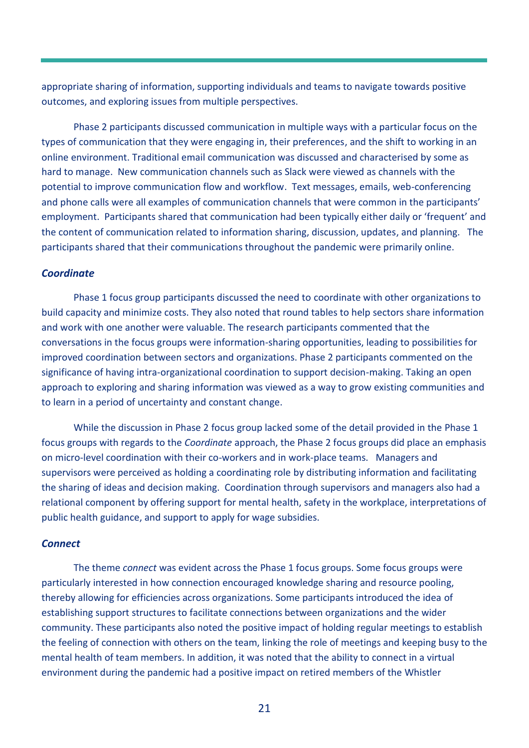appropriate sharing of information, supporting individuals and teams to navigate towards positive outcomes, and exploring issues from multiple perspectives.

Phase 2 participants discussed communication in multiple ways with a particular focus on the types of communication that they were engaging in, their preferences, and the shift to working in an online environment. Traditional email communication was discussed and characterised by some as hard to manage. New communication channels such as Slack were viewed as channels with the potential to improve communication flow and workflow. Text messages, emails, web-conferencing and phone calls were all examples of communication channels that were common in the participants' employment. Participants shared that communication had been typically either daily or 'frequent' and the content of communication related to information sharing, discussion, updates, and planning. The participants shared that their communications throughout the pandemic were primarily online.

# *Coordinate*

Phase 1 focus group participants discussed the need to coordinate with other organizations to build capacity and minimize costs. They also noted that round tables to help sectors share information and work with one another were valuable. The research participants commented that the conversations in the focus groups were information-sharing opportunities, leading to possibilities for improved coordination between sectors and organizations. Phase 2 participants commented on the significance of having intra-organizational coordination to support decision-making. Taking an open approach to exploring and sharing information was viewed as a way to grow existing communities and to learn in a period of uncertainty and constant change.

While the discussion in Phase 2 focus group lacked some of the detail provided in the Phase 1 focus groups with regards to the *Coordinate* approach, the Phase 2 focus groups did place an emphasis on micro-level coordination with their co-workers and in work-place teams. Managers and supervisors were perceived as holding a coordinating role by distributing information and facilitating the sharing of ideas and decision making. Coordination through supervisors and managers also had a relational component by offering support for mental health, safety in the workplace, interpretations of public health guidance, and support to apply for wage subsidies.

# *Connect*

The theme *connect* was evident across the Phase 1 focus groups. Some focus groups were particularly interested in how connection encouraged knowledge sharing and resource pooling, thereby allowing for efficiencies across organizations. Some participants introduced the idea of establishing support structures to facilitate connections between organizations and the wider community. These participants also noted the positive impact of holding regular meetings to establish the feeling of connection with others on the team, linking the role of meetings and keeping busy to the mental health of team members. In addition, it was noted that the ability to connect in a virtual environment during the pandemic had a positive impact on retired members of the Whistler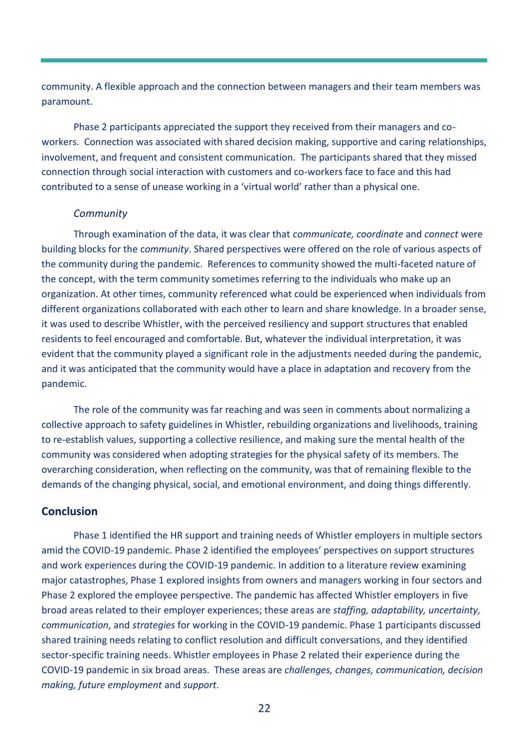community. A flexible approach and the connection between managers and their team members was paramount.

Phase 2 participants appreciated the support they received from their managers and coworkers. Connection was associated with shared decision making, supportive and caring relationships, involvement, and frequent and consistent communication. The participants shared that they missed connection through social interaction with customers and co-workers face to face and this had contributed to a sense of unease working in a 'virtual world' rather than a physical one.

#### *Community*

Through examination of the data, it was clear that *communicate, coordinate* and *connect* were building blocks for the c*ommunity*. Shared perspectives were offered on the role of various aspects of the community during the pandemic. References to community showed the multi-faceted nature of the concept, with the term community sometimes referring to the individuals who make up an organization. At other times, community referenced what could be experienced when individuals from different organizations collaborated with each other to learn and share knowledge. In a broader sense, it was used to describe Whistler, with the perceived resiliency and support structures that enabled residents to feel encouraged and comfortable. But, whatever the individual interpretation, it was evident that the community played a significant role in the adjustments needed during the pandemic, and it was anticipated that the community would have a place in adaptation and recovery from the pandemic.

The role of the community was far reaching and was seen in comments about normalizing a collective approach to safety guidelines in Whistler, rebuilding organizations and livelihoods, training to re-establish values, supporting a collective resilience, and making sure the mental health of the community was considered when adopting strategies for the physical safety of its members. The overarching consideration, when reflecting on the community, was that of remaining flexible to the demands of the changing physical, social, and emotional environment, and doing things differently.

# <span id="page-22-0"></span>**Conclusion**

Phase 1 identified the HR support and training needs of Whistler employers in multiple sectors amid the COVID-19 pandemic. Phase 2 identified the employees' perspectives on support structures and work experiences during the COVID-19 pandemic. In addition to a literature review examining major catastrophes, Phase 1 explored insights from owners and managers working in four sectors and Phase 2 explored the employee perspective. The pandemic has affected Whistler employers in five broad areas related to their employer experiences; these areas are *staffing, adaptability, uncertainty, communication*, and *strategies* for working in the COVID-19 pandemic. Phase 1 participants discussed shared training needs relating to conflict resolution and difficult conversations, and they identified sector-specific training needs. Whistler employees in Phase 2 related their experience during the COVID-19 pandemic in six broad areas. These areas are *challenges, changes, communication, decision making, future employment* and *support*.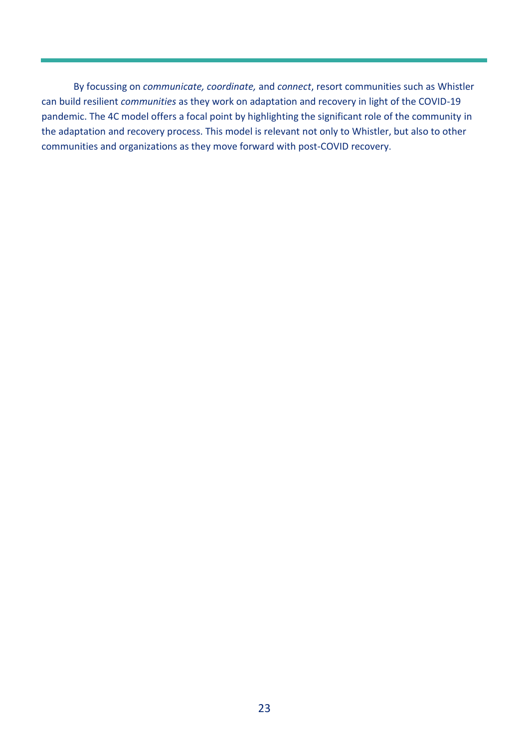By focussing on *communicate, coordinate,* and *connect*, resort communities such as Whistler can build resilient *communities* as they work on adaptation and recovery in light of the COVID-19 pandemic. The 4C model offers a focal point by highlighting the significant role of the community in the adaptation and recovery process. This model is relevant not only to Whistler, but also to other communities and organizations as they move forward with post-COVID recovery.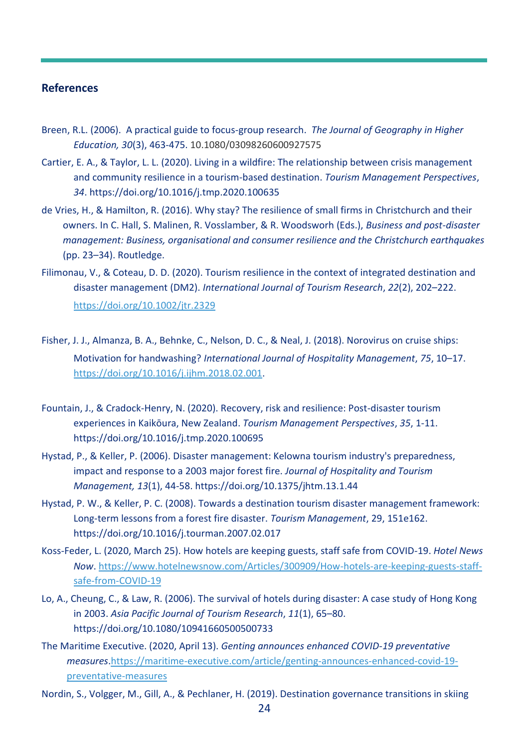### <span id="page-24-0"></span>**References**

- Breen, R.L. (2006). A practical guide to focus-group research. *The Journal of Geography in Higher Education, 30*(3), 463-475. 10.1080/03098260600927575
- Cartier, E. A., & Taylor, L. L. (2020). Living in a wildfire: The relationship between crisis management and community resilience in a tourism-based destination. *Tourism Management Perspectives*, *34*. https://doi.org/10.1016/j.tmp.2020.100635
- de Vries, H., & Hamilton, R. (2016). Why stay? The resilience of small firms in Christchurch and their owners. In C. Hall, S. Malinen, R. Vosslamber, & R. Woodsworh (Eds.), *Business and post-disaster management: Business, organisational and consumer resilience and the Christchurch earthquakes* (pp. 23–34). Routledge.
- Filimonau, V., & Coteau, D. D. (2020). Tourism resilience in the context of integrated destination and disaster management (DM2). *International Journal of Tourism Research*, *22*(2), 202–222. <https://doi.org/10.1002/jtr.2329>
- Fisher, J. J., Almanza, B. A., Behnke, C., Nelson, D. C., & Neal, J. (2018). Norovirus on cruise ships: Motivation for handwashing? *International Journal of Hospitality Management*, *75*, 10–17. [https://doi.org/10.1016/j.ijhm.2018.02.001.](https://doi.org/10.1016/j.ijhm.2018.02.001)
- Fountain, J., & Cradock-Henry, N. (2020). Recovery, risk and resilience: Post-disaster tourism experiences in Kaikōura, New Zealand. *Tourism Management Perspectives*, *35*, 1-11. https://doi.org/10.1016/j.tmp.2020.100695
- Hystad, P., & Keller, P. (2006). Disaster management: Kelowna tourism industry's preparedness, impact and response to a 2003 major forest fire. *Journal of Hospitality and Tourism Management, 13*(1), 44-58. https://doi.org/10.1375/jhtm.13.1.44
- Hystad, P. W., & Keller, P. C. (2008). Towards a destination tourism disaster management framework: Long-term lessons from a forest fire disaster. *Tourism Management*, 29, 151e162. https://doi.org/10.1016/j.tourman.2007.02.017
- Koss-Feder, L. (2020, March 25). How hotels are keeping guests, staff safe from COVID-19. *Hotel News Now*. [https://www.hotelnewsnow.com/Articles/300909/How-hotels-are-keeping-guests-staff](https://www.hotelnewsnow.com/Articles/300909/How-hotels-are-keeping-guests-staff-safe-from-COVID-19)[safe-from-COVID-19](https://www.hotelnewsnow.com/Articles/300909/How-hotels-are-keeping-guests-staff-safe-from-COVID-19)
- Lo, A., Cheung, C., & Law, R. (2006). The survival of hotels during disaster: A case study of Hong Kong in 2003. *Asia Pacific Journal of Tourism Research*, *11*(1), 65–80. https://doi.org/10.1080/10941660500500733
- The Maritime Executive. (2020, April 13). *Genting announces enhanced COVID-19 preventative measures*[.https://maritime-executive.com/article/genting-announces-enhanced-covid-19](https://maritime-executive.com/article/genting-announces-enhanced-covid-19-preventative-measures) [preventative-measures](https://maritime-executive.com/article/genting-announces-enhanced-covid-19-preventative-measures)
- Nordin, S., Volgger, M., Gill, A., & Pechlaner, H. (2019). Destination governance transitions in skiing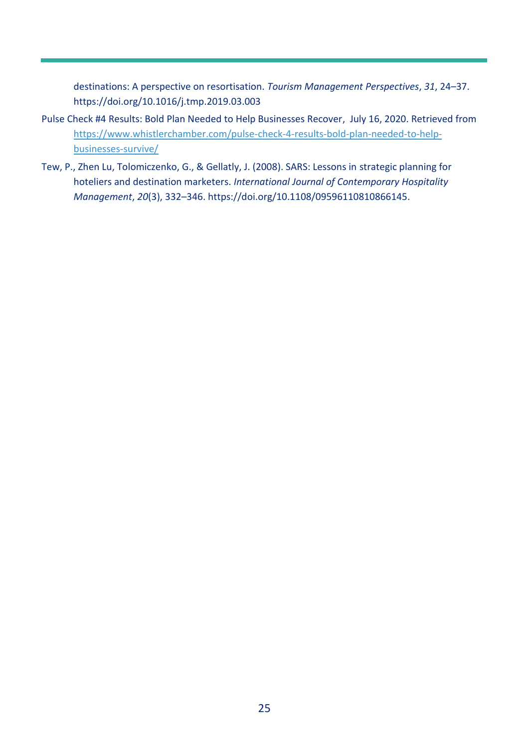destinations: A perspective on resortisation. *Tourism Management Perspectives*, *31*, 24–37. https://doi.org/10.1016/j.tmp.2019.03.003

- [Pulse Check #4 Results: Bold Plan Needed to Help Businesses Recover,](https://www.whistlerchamber.com/pulse-check-4-results-bold-plan-needed-to-help-businesses-survive/) July 16, 2020. Retrieved from [https://www.whistlerchamber.com/pulse-check-4-results-bold-plan-needed-to-help](https://www.whistlerchamber.com/pulse-check-4-results-bold-plan-needed-to-help-businesses-survive/)[businesses-survive/](https://www.whistlerchamber.com/pulse-check-4-results-bold-plan-needed-to-help-businesses-survive/)
- Tew, P., Zhen Lu, Tolomiczenko, G., & Gellatly, J. (2008). SARS: Lessons in strategic planning for hoteliers and destination marketers. *International Journal of Contemporary Hospitality Management*, *20*(3), 332–346. https://doi.org/10.1108/09596110810866145.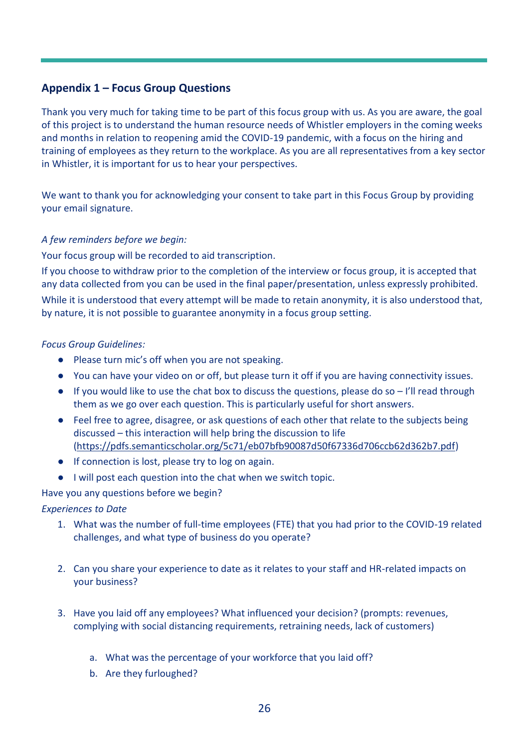# <span id="page-26-0"></span>**Appendix 1 – Focus Group Questions**

Thank you very much for taking time to be part of this focus group with us. As you are aware, the goal of this project is to understand the human resource needs of Whistler employers in the coming weeks and months in relation to reopening amid the COVID-19 pandemic, with a focus on the hiring and training of employees as they return to the workplace. As you are all representatives from a key sector in Whistler, it is important for us to hear your perspectives.

We want to thank you for acknowledging your consent to take part in this Focus Group by providing your email signature.

# *A few reminders before we begin:*

Your focus group will be recorded to aid transcription.

If you choose to withdraw prior to the completion of the interview or focus group, it is accepted that any data collected from you can be used in the final paper/presentation, unless expressly prohibited. While it is understood that every attempt will be made to retain anonymity, it is also understood that, by nature, it is not possible to guarantee anonymity in a focus group setting.

# *Focus Group Guidelines:*

- Please turn mic's off when you are not speaking.
- You can have your video on or off, but please turn it off if you are having connectivity issues.
- If you would like to use the chat box to discuss the questions, please do so I'll read through them as we go over each question. This is particularly useful for short answers.
- Feel free to agree, disagree, or ask questions of each other that relate to the subjects being discussed – this interaction will help bring the discussion to life [\(https://pdfs.semanticscholar.org/5c71/eb07bfb90087d50f67336d706ccb62d362b7.pdf\)](https://pdfs.semanticscholar.org/5c71/eb07bfb90087d50f67336d706ccb62d362b7.pdf)
- If connection is lost, please try to log on again.
- I will post each question into the chat when we switch topic.

Have you any questions before we begin?

# *Experiences to Date*

- 1. What was the number of full-time employees (FTE) that you had prior to the COVID-19 related challenges, and what type of business do you operate?
- 2. Can you share your experience to date as it relates to your staff and HR-related impacts on your business?
- 3. Have you laid off any employees? What influenced your decision? (prompts: revenues, complying with social distancing requirements, retraining needs, lack of customers)
	- a. What was the percentage of your workforce that you laid off?
	- b. Are they furloughed?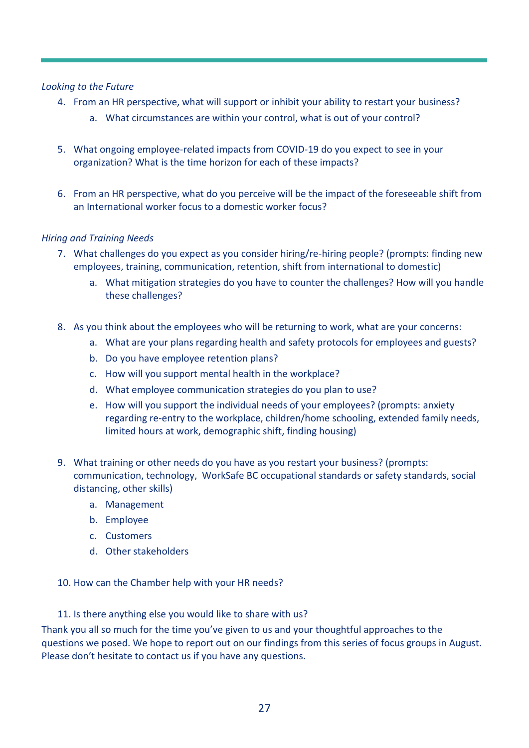# *Looking to the Future*

- 4. From an HR perspective, what will support or inhibit your ability to restart your business?
	- a. What circumstances are within your control, what is out of your control?
- 5. What ongoing employee-related impacts from COVID-19 do you expect to see in your organization? What is the time horizon for each of these impacts?
- 6. From an HR perspective, what do you perceive will be the impact of the foreseeable shift from an International worker focus to a domestic worker focus?

# *Hiring and Training Needs*

- 7. What challenges do you expect as you consider hiring/re-hiring people? (prompts: finding new employees, training, communication, retention, shift from international to domestic)
	- a. What mitigation strategies do you have to counter the challenges? How will you handle these challenges?
- 8. As you think about the employees who will be returning to work, what are your concerns:
	- a. What are your plans regarding health and safety protocols for employees and guests?
	- b. Do you have employee retention plans?
	- c. How will you support mental health in the workplace?
	- d. What employee communication strategies do you plan to use?
	- e. How will you support the individual needs of your employees? (prompts: anxiety regarding re-entry to the workplace, children/home schooling, extended family needs, limited hours at work, demographic shift, finding housing)
- 9. What training or other needs do you have as you restart your business? (prompts: communication, technology, WorkSafe BC occupational standards or safety standards, social distancing, other skills)
	- a. Management
	- b. Employee
	- c. Customers
	- d. Other stakeholders

10. How can the Chamber help with your HR needs?

11. Is there anything else you would like to share with us?

Thank you all so much for the time you've given to us and your thoughtful approaches to the questions we posed. We hope to report out on our findings from this series of focus groups in August. Please don't hesitate to contact us if you have any questions.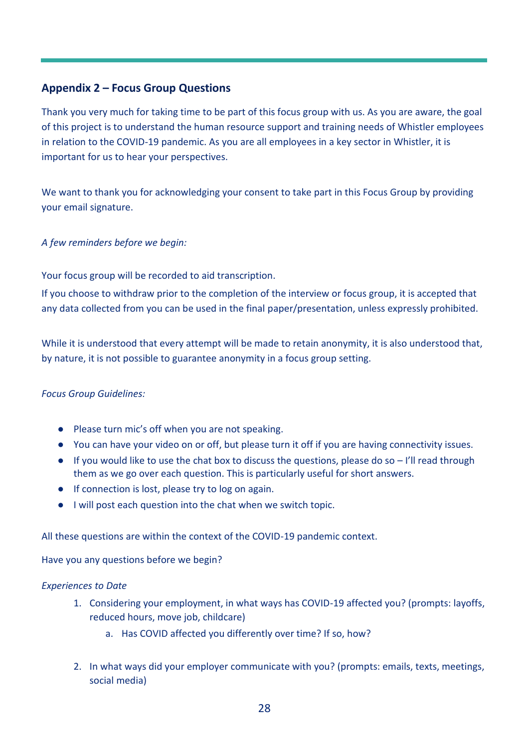# <span id="page-28-0"></span>**Appendix 2 – Focus Group Questions**

Thank you very much for taking time to be part of this focus group with us. As you are aware, the goal of this project is to understand the human resource support and training needs of Whistler employees in relation to the COVID-19 pandemic. As you are all employees in a key sector in Whistler, it is important for us to hear your perspectives.

We want to thank you for acknowledging your consent to take part in this Focus Group by providing your email signature.

# *A few reminders before we begin:*

Your focus group will be recorded to aid transcription.

If you choose to withdraw prior to the completion of the interview or focus group, it is accepted that any data collected from you can be used in the final paper/presentation, unless expressly prohibited.

While it is understood that every attempt will be made to retain anonymity, it is also understood that, by nature, it is not possible to guarantee anonymity in a focus group setting.

# *Focus Group Guidelines:*

- Please turn mic's off when you are not speaking.
- You can have your video on or off, but please turn it off if you are having connectivity issues.
- If you would like to use the chat box to discuss the questions, please do so I'll read through them as we go over each question. This is particularly useful for short answers.
- If connection is lost, please try to log on again.
- I will post each question into the chat when we switch topic.

All these questions are within the context of the COVID-19 pandemic context.

Have you any questions before we begin?

# *Experiences to Date*

- 1. Considering your employment, in what ways has COVID-19 affected you? (prompts: layoffs, reduced hours, move job, childcare)
	- a. Has COVID affected you differently over time? If so, how?
- 2. In what ways did your employer communicate with you? (prompts: emails, texts, meetings, social media)